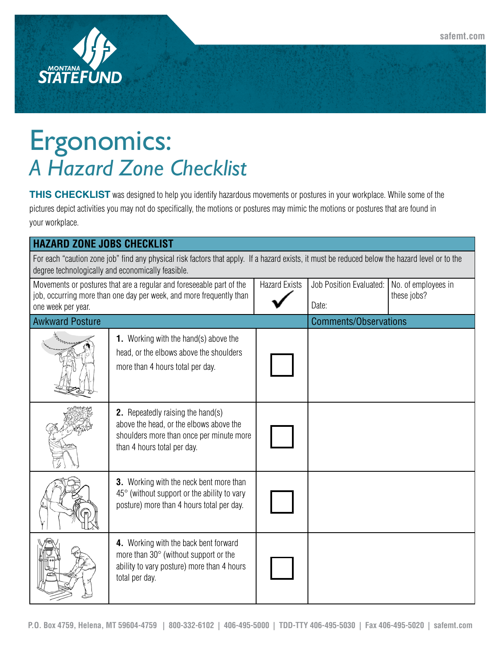



## Ergonomics: *A Hazard Zone Checklist*

**THIS CHECKLIST** was designed to help you identify hazardous movements or postures in your workplace. While some of the pictures depict activities you may not do specifically, the motions or postures may mimic the motions or postures that are found in your workplace.

| <b>HAZARD ZONE JOBS CHECKLIST</b>                                                                                                                                                                   |                                                                                                                                                                |                      |                                  |                                    |  |  |
|-----------------------------------------------------------------------------------------------------------------------------------------------------------------------------------------------------|----------------------------------------------------------------------------------------------------------------------------------------------------------------|----------------------|----------------------------------|------------------------------------|--|--|
| For each "caution zone job" find any physical risk factors that apply. If a hazard exists, it must be reduced below the hazard level or to the<br>degree technologically and economically feasible. |                                                                                                                                                                |                      |                                  |                                    |  |  |
| Movements or postures that are a regular and foreseeable part of the<br>job, occurring more than one day per week, and more frequently than<br>one week per year.                                   |                                                                                                                                                                | <b>Hazard Exists</b> | Job Position Evaluated:<br>Date: | No. of employees in<br>these jobs? |  |  |
| <b>Awkward Posture</b>                                                                                                                                                                              |                                                                                                                                                                |                      | <b>Comments/Observations</b>     |                                    |  |  |
|                                                                                                                                                                                                     | <b>1.</b> Working with the hand(s) above the<br>head, or the elbows above the shoulders<br>more than 4 hours total per day.                                    |                      |                                  |                                    |  |  |
|                                                                                                                                                                                                     | <b>2.</b> Repeatedly raising the hand(s)<br>above the head, or the elbows above the<br>shoulders more than once per minute more<br>than 4 hours total per day. |                      |                                  |                                    |  |  |
|                                                                                                                                                                                                     | 3. Working with the neck bent more than<br>$45^{\circ}$ (without support or the ability to vary<br>posture) more than 4 hours total per day.                   |                      |                                  |                                    |  |  |
|                                                                                                                                                                                                     | 4. Working with the back bent forward<br>more than 30° (without support or the<br>ability to vary posture) more than 4 hours<br>total per day.                 |                      |                                  |                                    |  |  |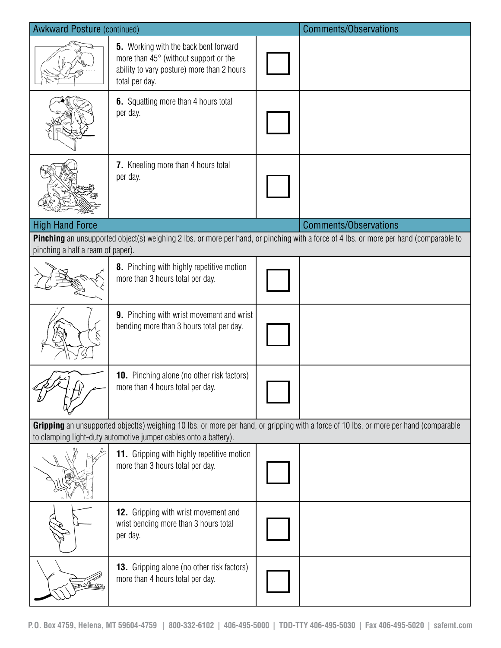| <b>Awkward Posture (continued)</b>                                                                                                                                                                        |                                                                                                                                                       |  | <b>Comments/Observations</b>                                                                                                           |  |  |
|-----------------------------------------------------------------------------------------------------------------------------------------------------------------------------------------------------------|-------------------------------------------------------------------------------------------------------------------------------------------------------|--|----------------------------------------------------------------------------------------------------------------------------------------|--|--|
|                                                                                                                                                                                                           | <b>5.</b> Working with the back bent forward<br>more than 45° (without support or the<br>ability to vary posture) more than 2 hours<br>total per day. |  |                                                                                                                                        |  |  |
|                                                                                                                                                                                                           | 6. Squatting more than 4 hours total<br>per day.                                                                                                      |  |                                                                                                                                        |  |  |
|                                                                                                                                                                                                           | 7. Kneeling more than 4 hours total<br>per day.                                                                                                       |  |                                                                                                                                        |  |  |
| <b>High Hand Force</b>                                                                                                                                                                                    |                                                                                                                                                       |  | <b>Comments/Observations</b>                                                                                                           |  |  |
| pinching a half a ream of paper).                                                                                                                                                                         |                                                                                                                                                       |  | Pinching an unsupported object(s) weighing 2 lbs. or more per hand, or pinching with a force of 4 lbs. or more per hand (comparable to |  |  |
|                                                                                                                                                                                                           | 8. Pinching with highly repetitive motion<br>more than 3 hours total per day.                                                                         |  |                                                                                                                                        |  |  |
|                                                                                                                                                                                                           | 9. Pinching with wrist movement and wrist<br>bending more than 3 hours total per day.                                                                 |  |                                                                                                                                        |  |  |
|                                                                                                                                                                                                           | <b>10.</b> Pinching alone (no other risk factors)<br>more than 4 hours total per day.                                                                 |  |                                                                                                                                        |  |  |
| Gripping an unsupported object(s) weighing 10 lbs. or more per hand, or gripping with a force of 10 lbs. or more per hand (comparable<br>to clamping light-duty automotive jumper cables onto a battery). |                                                                                                                                                       |  |                                                                                                                                        |  |  |
|                                                                                                                                                                                                           | <b>11.</b> Gripping with highly repetitive motion<br>more than 3 hours total per day.                                                                 |  |                                                                                                                                        |  |  |
|                                                                                                                                                                                                           | 12. Gripping with wrist movement and<br>wrist bending more than 3 hours total<br>per day.                                                             |  |                                                                                                                                        |  |  |
|                                                                                                                                                                                                           | <b>13.</b> Gripping alone (no other risk factors)<br>more than 4 hours total per day.                                                                 |  |                                                                                                                                        |  |  |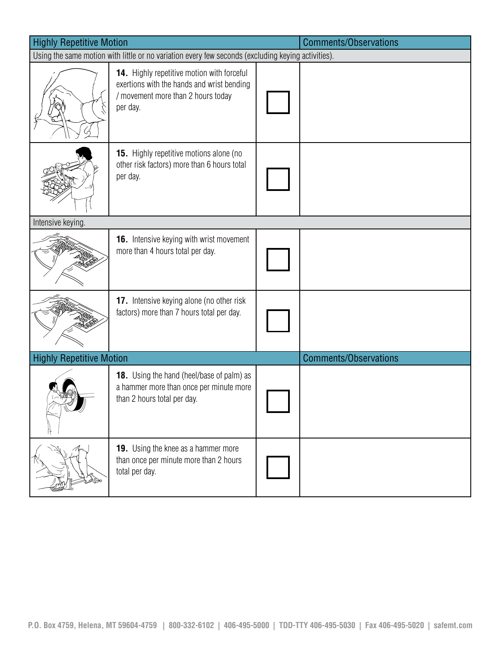| <b>Highly Repetitive Motion</b>                                                                    |                                                                                                                                            |  | <b>Comments/Observations</b> |  |  |
|----------------------------------------------------------------------------------------------------|--------------------------------------------------------------------------------------------------------------------------------------------|--|------------------------------|--|--|
| Using the same motion with little or no variation every few seconds (excluding keying activities). |                                                                                                                                            |  |                              |  |  |
|                                                                                                    | 14. Highly repetitive motion with forceful<br>exertions with the hands and wrist bending<br>/ movement more than 2 hours today<br>per day. |  |                              |  |  |
|                                                                                                    | <b>15.</b> Highly repetitive motions alone (no<br>other risk factors) more than 6 hours total<br>per day.                                  |  |                              |  |  |
| Intensive keying.                                                                                  |                                                                                                                                            |  |                              |  |  |
|                                                                                                    | <b>16.</b> Intensive keying with wrist movement<br>more than 4 hours total per day.                                                        |  |                              |  |  |
|                                                                                                    | 17. Intensive keying alone (no other risk<br>factors) more than 7 hours total per day.                                                     |  |                              |  |  |
| <b>Highly Repetitive Motion</b>                                                                    |                                                                                                                                            |  | <b>Comments/Observations</b> |  |  |
|                                                                                                    | <b>18.</b> Using the hand (heel/base of palm) as<br>a hammer more than once per minute more<br>than 2 hours total per day.                 |  |                              |  |  |
|                                                                                                    | <b>19.</b> Using the knee as a hammer more<br>than once per minute more than 2 hours<br>total per day.                                     |  |                              |  |  |